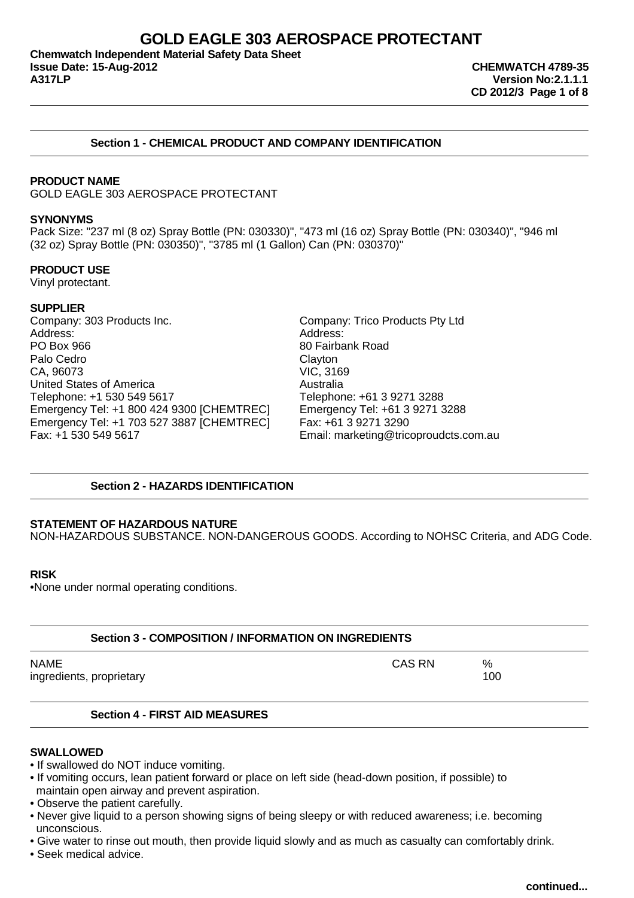**Chemwatch Independent Material Safety Data Sheet Issue Date: 15-Aug-2012 CHEMWATCH 4789-35**

# **Section 1 - CHEMICAL PRODUCT AND COMPANY IDENTIFICATION**

### **PRODUCT NAME**

GOLD EAGLE 303 AEROSPACE PROTECTANT

#### **SYNONYMS**

Pack Size: "237 ml (8 oz) Spray Bottle (PN: 030330)", "473 ml (16 oz) Spray Bottle (PN: 030340)", "946 ml (32 oz) Spray Bottle (PN: 030350)", "3785 ml (1 Gallon) Can (PN: 030370)"

### **PRODUCT USE**

Vinyl protectant.

### **SUPPLIER**

Company: 303 Products Inc. Company: Trico Products Pty Ltd Address: Address: PO Box 966 80 Fairbank Road Palo Cedro **Clayton** CA, 96073 VIC, 3169 United States of America<br>
Telephone: +1 530 549 5617<br>
Telephone: +61 3 9271 3288 Telephone: +1 530 549 5617 Emergency Tel: +1 800 424 9300 [CHEMTREC] Emergency Tel: +61 3 9271 3288 Emergency Tel: +1 703 527 3887 [CHEMTREC] Fax: +61 3 9271 3290 Fax: +1 530 549 5617 Email: marketing@tricoproudcts.com.au

# **Section 2 - HAZARDS IDENTIFICATION**

#### **STATEMENT OF HAZARDOUS NATURE**

NON-HAZARDOUS SUBSTANCE. NON-DANGEROUS GOODS. According to NOHSC Criteria, and ADG Code.

#### **RISK**

•None under normal operating conditions.

|      | Section 3 - COMPOSITION / INFORMATION ON INGREDIENTS |        |          |  |  |
|------|------------------------------------------------------|--------|----------|--|--|
| NAME | ingredients, proprietary                             | CAS RN | %<br>100 |  |  |

# **Section 4 - FIRST AID MEASURES**

# **SWALLOWED**

- If swallowed do NOT induce vomiting.
- If vomiting occurs, lean patient forward or place on left side (head-down position, if possible) to maintain open airway and prevent aspiration.
- Observe the patient carefully.
- Never give liquid to a person showing signs of being sleepy or with reduced awareness; i.e. becoming unconscious.
- Give water to rinse out mouth, then provide liquid slowly and as much as casualty can comfortably drink.
- Seek medical advice.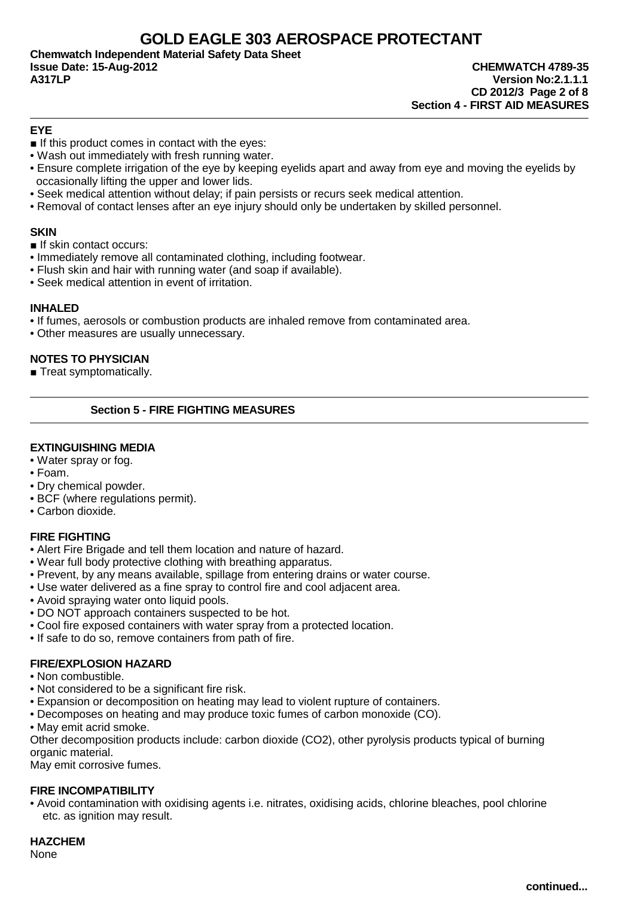**Chemwatch Independent Material Safety Data Sheet Issue Date: 15-Aug-2012 CHEMWATCH 4789-35 A317LP Version No:2.1.1.1**

**CD 2012/3 Page 2 of 8 Section 4 - FIRST AID MEASURES**

# **EYE**

- $\blacksquare$  If this product comes in contact with the eyes:
- Wash out immediately with fresh running water.
- Ensure complete irrigation of the eye by keeping eyelids apart and away from eye and moving the eyelids by occasionally lifting the upper and lower lids.
- Seek medical attention without delay; if pain persists or recurs seek medical attention.
- Removal of contact lenses after an eye injury should only be undertaken by skilled personnel.

# **SKIN**

■ If skin contact occurs:

- Immediately remove all contaminated clothing, including footwear.
- Flush skin and hair with running water (and soap if available).
- Seek medical attention in event of irritation.

# **INHALED**

- If fumes, aerosols or combustion products are inhaled remove from contaminated area.
- Other measures are usually unnecessary.

# **NOTES TO PHYSICIAN**

■ Treat symptomatically.

# **Section 5 - FIRE FIGHTING MEASURES**

# **EXTINGUISHING MEDIA**

- Water spray or fog.
- Foam.
- Dry chemical powder.
- BCF (where regulations permit).
- Carbon dioxide.

# **FIRE FIGHTING**

- Alert Fire Brigade and tell them location and nature of hazard.
- Wear full body protective clothing with breathing apparatus.
- Prevent, by any means available, spillage from entering drains or water course.
- Use water delivered as a fine spray to control fire and cool adjacent area.
- Avoid spraying water onto liquid pools.
- DO NOT approach containers suspected to be hot.
- Cool fire exposed containers with water spray from a protected location.
- If safe to do so, remove containers from path of fire.

# **FIRE/EXPLOSION HAZARD**

- Non combustible.
- Not considered to be a significant fire risk.
- Expansion or decomposition on heating may lead to violent rupture of containers.
- Decomposes on heating and may produce toxic fumes of carbon monoxide (CO).
- May emit acrid smoke.

Other decomposition products include: carbon dioxide (CO2), other pyrolysis products typical of burning organic material.

May emit corrosive fumes.

# **FIRE INCOMPATIBILITY**

• Avoid contamination with oxidising agents i.e. nitrates, oxidising acids, chlorine bleaches, pool chlorine etc. as ignition may result.

**HAZCHEM**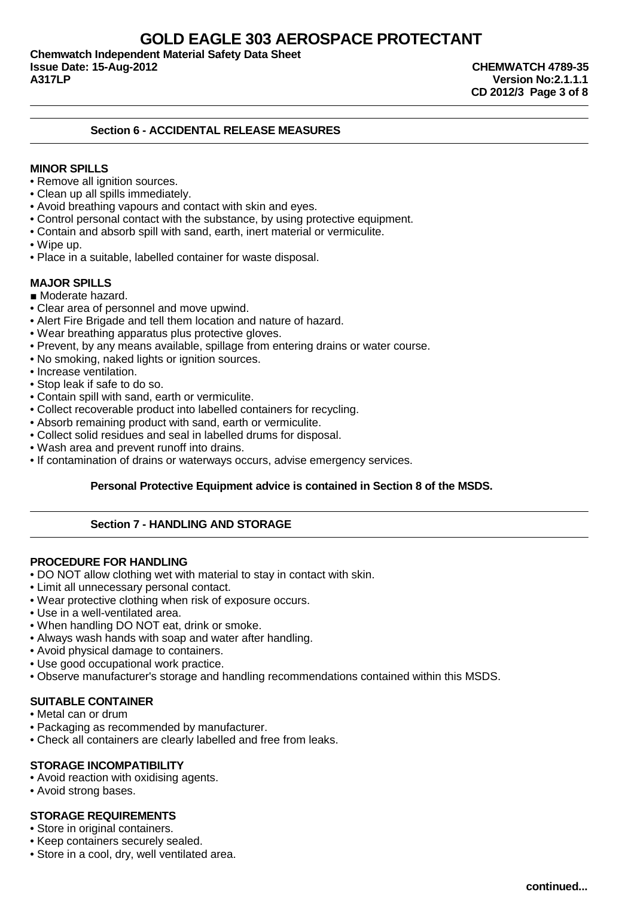**Chemwatch Independent Material Safety Data Sheet Issue Date: 15-Aug-2012 CHEMWATCH 4789-35**

**A317LP Version No:2.1.1.1 CD 2012/3 Page 3 of 8**

# **Section 6 - ACCIDENTAL RELEASE MEASURES**

# **MINOR SPILLS**

- Remove all ignition sources.
- Clean up all spills immediately.
- Avoid breathing vapours and contact with skin and eyes.
- Control personal contact with the substance, by using protective equipment.
- Contain and absorb spill with sand, earth, inert material or vermiculite.
- Wipe up.
- Place in a suitable, labelled container for waste disposal.

# **MAJOR SPILLS**

- Moderate hazard.
- Clear area of personnel and move upwind.
- Alert Fire Brigade and tell them location and nature of hazard.
- Wear breathing apparatus plus protective gloves.
- Prevent, by any means available, spillage from entering drains or water course.
- No smoking, naked lights or ignition sources.
- Increase ventilation.
- Stop leak if safe to do so.
- Contain spill with sand, earth or vermiculite.
- Collect recoverable product into labelled containers for recycling.
- Absorb remaining product with sand, earth or vermiculite.
- Collect solid residues and seal in labelled drums for disposal.
- Wash area and prevent runoff into drains.
- If contamination of drains or waterways occurs, advise emergency services.

# **Personal Protective Equipment advice is contained in Section 8 of the MSDS.**

# **Section 7 - HANDLING AND STORAGE**

# **PROCEDURE FOR HANDLING**

- DO NOT allow clothing wet with material to stay in contact with skin.
- Limit all unnecessary personal contact.
- Wear protective clothing when risk of exposure occurs.
- Use in a well-ventilated area.
- When handling DO NOT eat, drink or smoke.
- Always wash hands with soap and water after handling.
- Avoid physical damage to containers.
- Use good occupational work practice.
- Observe manufacturer's storage and handling recommendations contained within this MSDS.

# **SUITABLE CONTAINER**

- Metal can or drum
- Packaging as recommended by manufacturer.
- Check all containers are clearly labelled and free from leaks.

# **STORAGE INCOMPATIBILITY**

- Avoid reaction with oxidising agents.
- Avoid strong bases.

# **STORAGE REQUIREMENTS**

- Store in original containers.
- Keep containers securely sealed.
- Store in a cool, dry, well ventilated area.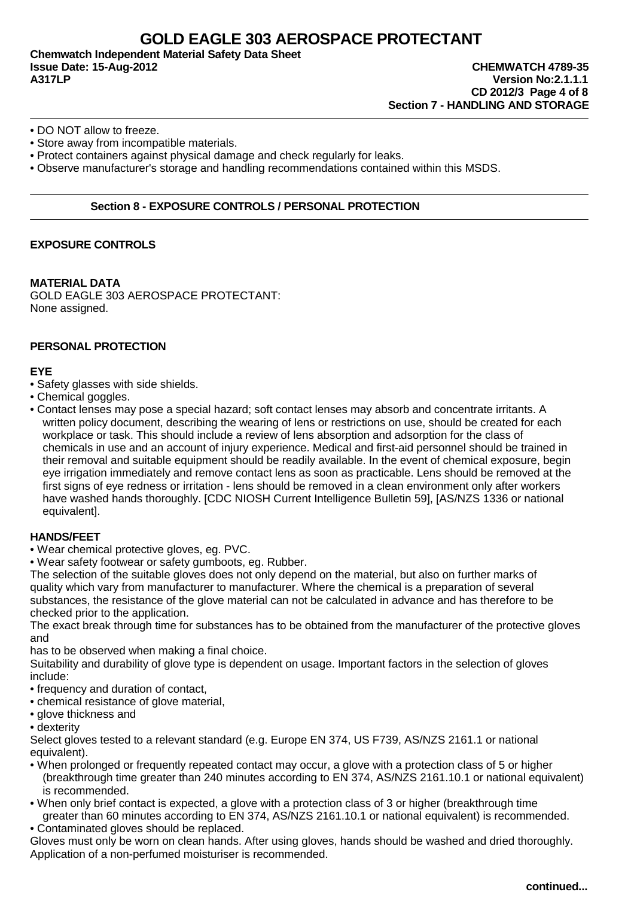**Chemwatch Independent Material Safety Data Sheet Issue Date: 15-Aug-2012 CHEMWATCH 4789-35 A317LP Version No:2.1.1.1**

- DO NOT allow to freeze.
- Store away from incompatible materials.
- Protect containers against physical damage and check regularly for leaks.
- Observe manufacturer's storage and handling recommendations contained within this MSDS.

# **Section 8 - EXPOSURE CONTROLS / PERSONAL PROTECTION**

# **EXPOSURE CONTROLS**

#### **MATERIAL DATA**

GOLD EAGLE 303 AEROSPACE PROTECTANT: None assigned.

# **PERSONAL PROTECTION**

### **EYE**

- Safety glasses with side shields.
- Chemical goggles.
- Contact lenses may pose a special hazard; soft contact lenses may absorb and concentrate irritants. A written policy document, describing the wearing of lens or restrictions on use, should be created for each workplace or task. This should include a review of lens absorption and adsorption for the class of chemicals in use and an account of injury experience. Medical and first-aid personnel should be trained in their removal and suitable equipment should be readily available. In the event of chemical exposure, begin eye irrigation immediately and remove contact lens as soon as practicable. Lens should be removed at the first signs of eye redness or irritation - lens should be removed in a clean environment only after workers have washed hands thoroughly. [CDC NIOSH Current Intelligence Bulletin 59], [AS/NZS 1336 or national equivalent].

# **HANDS/FEET**

- Wear chemical protective gloves, eg. PVC.
- Wear safety footwear or safety gumboots, eg. Rubber.

The selection of the suitable gloves does not only depend on the material, but also on further marks of quality which vary from manufacturer to manufacturer. Where the chemical is a preparation of several substances, the resistance of the glove material can not be calculated in advance and has therefore to be checked prior to the application.

The exact break through time for substances has to be obtained from the manufacturer of the protective gloves and

has to be observed when making a final choice.

Suitability and durability of glove type is dependent on usage. Important factors in the selection of gloves include:

- frequency and duration of contact,
- chemical resistance of glove material,
- glove thickness and
- dexterity

Select gloves tested to a relevant standard (e.g. Europe EN 374, US F739, AS/NZS 2161.1 or national equivalent).

- When prolonged or frequently repeated contact may occur, a glove with a protection class of 5 or higher (breakthrough time greater than 240 minutes according to EN 374, AS/NZS 2161.10.1 or national equivalent) is recommended.
- When only brief contact is expected, a glove with a protection class of 3 or higher (breakthrough time greater than 60 minutes according to EN 374, AS/NZS 2161.10.1 or national equivalent) is recommended.
- Contaminated gloves should be replaced.

Gloves must only be worn on clean hands. After using gloves, hands should be washed and dried thoroughly. Application of a non-perfumed moisturiser is recommended.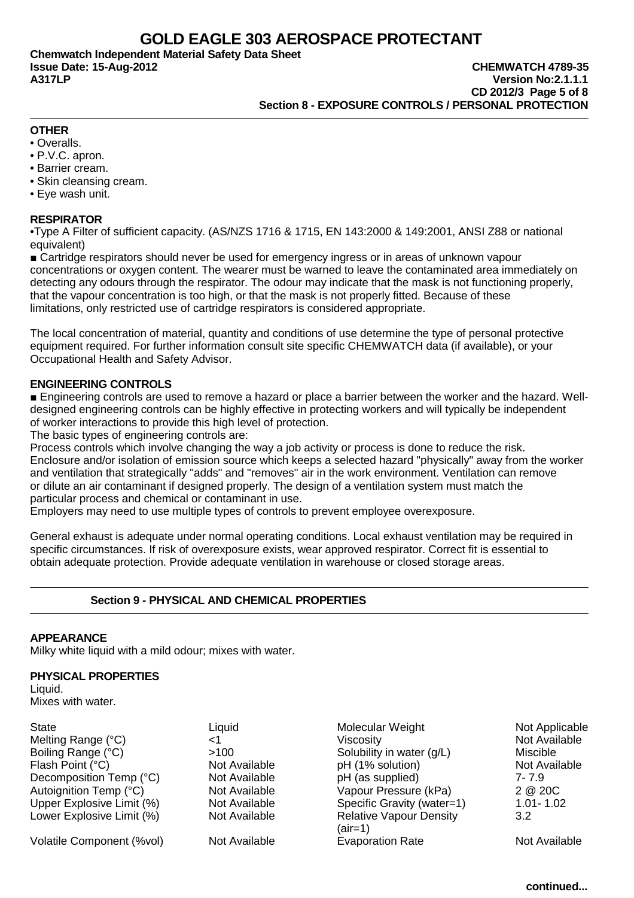**Chemwatch Independent Material Safety Data Sheet**

# **OTHER**

- Overalls.
- P.V.C. apron.
- Barrier cream.
- Skin cleansing cream.
- Eye wash unit.

### **RESPIRATOR**

•Type A Filter of sufficient capacity. (AS/NZS 1716 & 1715, EN 143:2000 & 149:2001, ANSI Z88 or national equivalent)

■ Cartridge respirators should never be used for emergency ingress or in areas of unknown vapour concentrations or oxygen content. The wearer must be warned to leave the contaminated area immediately on detecting any odours through the respirator. The odour may indicate that the mask is not functioning properly, that the vapour concentration is too high, or that the mask is not properly fitted. Because of these limitations, only restricted use of cartridge respirators is considered appropriate.

The local concentration of material, quantity and conditions of use determine the type of personal protective equipment required. For further information consult site specific CHEMWATCH data (if available), or your Occupational Health and Safety Advisor.

# **ENGINEERING CONTROLS**

■ Engineering controls are used to remove a hazard or place a barrier between the worker and the hazard. Welldesigned engineering controls can be highly effective in protecting workers and will typically be independent of worker interactions to provide this high level of protection.

The basic types of engineering controls are:

Process controls which involve changing the way a job activity or process is done to reduce the risk. Enclosure and/or isolation of emission source which keeps a selected hazard "physically" away from the worker and ventilation that strategically "adds" and "removes" air in the work environment. Ventilation can remove or dilute an air contaminant if designed properly. The design of a ventilation system must match the particular process and chemical or contaminant in use.

Employers may need to use multiple types of controls to prevent employee overexposure.

General exhaust is adequate under normal operating conditions. Local exhaust ventilation may be required in specific circumstances. If risk of overexposure exists, wear approved respirator. Correct fit is essential to obtain adequate protection. Provide adequate ventilation in warehouse or closed storage areas.

# **Section 9 - PHYSICAL AND CHEMICAL PROPERTIES**

#### **APPEARANCE**

Milky white liquid with a mild odour; mixes with water.

# **PHYSICAL PROPERTIES**

Liquid. Mixes with water.

| Liquid        | Molecular Weight               | Not Applicabl |
|---------------|--------------------------------|---------------|
|               | Viscosity                      | Not Available |
| >100          | Solubility in water (g/L)      | Miscible      |
| Not Available | pH (1% solution)               | Not Available |
| Not Available | pH (as supplied)               | 7-7.9         |
| Not Available | Vapour Pressure (kPa)          | 2 @ 20C       |
| Not Available | Specific Gravity (water=1)     | $1.01 - 1.02$ |
| Not Available | <b>Relative Vapour Density</b> | 3.2           |
|               |                                |               |

Volatile Component (%vol) Not Available Evaporation Rate Not Available Not Available

Liquid **Not Applicable** Molecular Weight Not Applicable >100 Solubility in water (g/L) Miscible Not Available **pH** (1% solution) Not Available Not Available **pH** (as supplied) 7- 7.9 Not Available Vapour Pressure (kPa) 2 @ 20C Not Available Specific Gravity (water=1) 1.01-1.02<br>Not Available Specific Vapour Density 3.2 Relative Vapour Density 3.2  $(air=1)$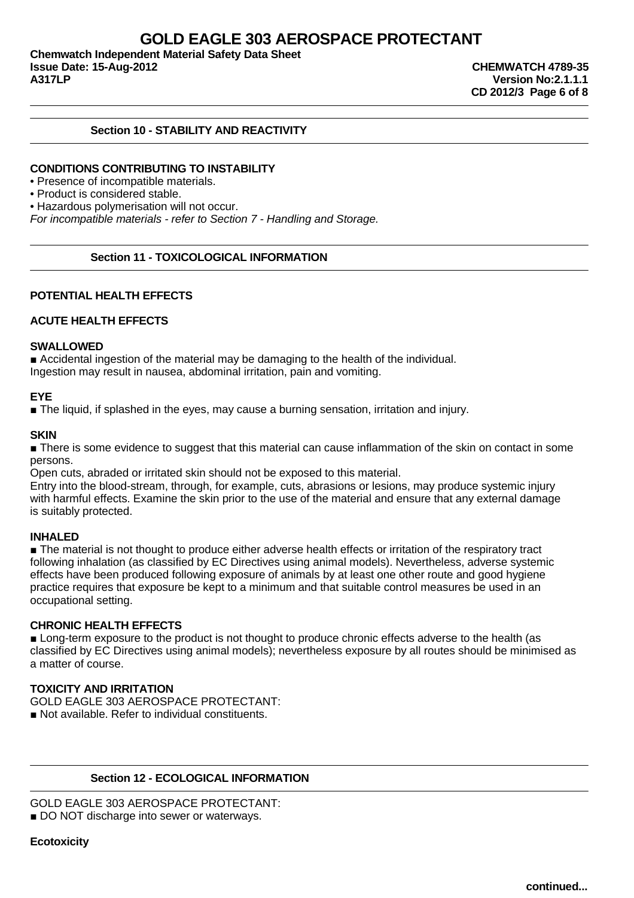**Chemwatch Independent Material Safety Data Sheet Issue Date: 15-Aug-2012 CHEMWATCH 4789-35**

**A317LP Version No:2.1.1.1 CD 2012/3 Page 6 of 8**

# **Section 10 - STABILITY AND REACTIVITY**

### **CONDITIONS CONTRIBUTING TO INSTABILITY**

• Presence of incompatible materials.

### • Product is considered stable.

• Hazardous polymerisation will not occur.

For incompatible materials - refer to Section 7 - Handling and Storage.

#### **Section 11 - TOXICOLOGICAL INFORMATION**

### **POTENTIAL HEALTH EFFECTS**

### **ACUTE HEALTH EFFECTS**

#### **SWALLOWED**

■ Accidental ingestion of the material may be damaging to the health of the individual. Ingestion may result in nausea, abdominal irritation, pain and vomiting.

### **EYE**

■ The liquid, if splashed in the eyes, may cause a burning sensation, irritation and injury.

#### **SKIN**

■ There is some evidence to suggest that this material can cause inflammation of the skin on contact in some persons.

Open cuts, abraded or irritated skin should not be exposed to this material.

Entry into the blood-stream, through, for example, cuts, abrasions or lesions, may produce systemic injury with harmful effects. Examine the skin prior to the use of the material and ensure that any external damage is suitably protected.

### **INHALED**

■ The material is not thought to produce either adverse health effects or irritation of the respiratory tract following inhalation (as classified by EC Directives using animal models). Nevertheless, adverse systemic effects have been produced following exposure of animals by at least one other route and good hygiene practice requires that exposure be kept to a minimum and that suitable control measures be used in an occupational setting.

### **CHRONIC HEALTH EFFECTS**

■ Long-term exposure to the product is not thought to produce chronic effects adverse to the health (as classified by EC Directives using animal models); nevertheless exposure by all routes should be minimised as a matter of course.

# **TOXICITY AND IRRITATION**

GOLD EAGLE 303 AEROSPACE PROTECTANT:

■ Not available. Refer to individual constituents.

# **Section 12 - ECOLOGICAL INFORMATION**

GOLD EAGLE 303 AEROSPACE PROTECTANT:

■ DO NOT discharge into sewer or waterways.

### **Ecotoxicity**

**continued...**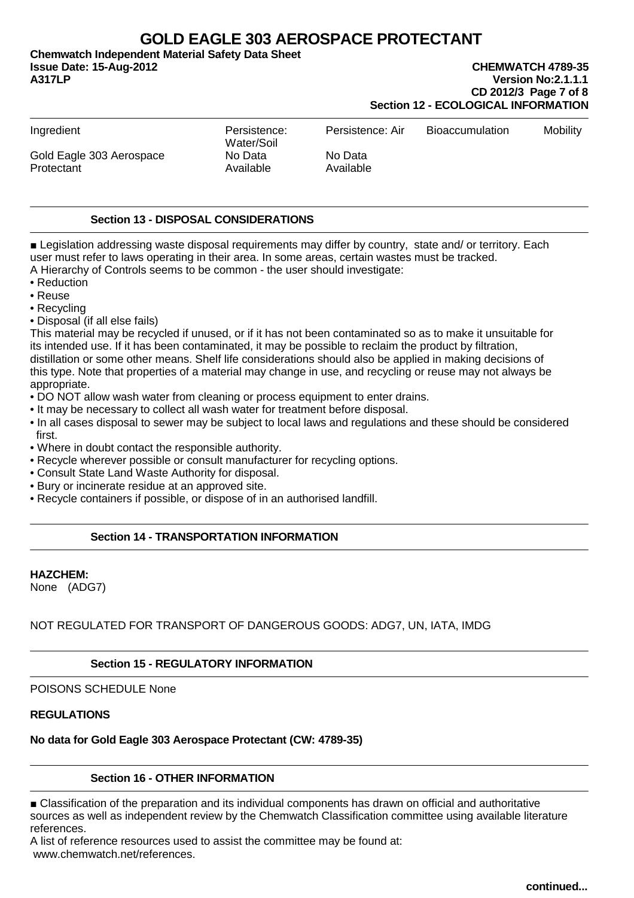**Chemwatch Independent Material Safety Data Sheet Issue Date: 15-Aug-2012 CHEMWATCH 4789-35**

**A317LP Version No:2.1.1.1 CD 2012/3 Page 7 of 8 Section 12 - ECOLOGICAL INFORMATION**

| Ingredient                             | Persistence:<br>Water/Soil | Persistence: Air     | <b>Bioaccumulation</b> | <b>Mobility</b> |
|----------------------------------------|----------------------------|----------------------|------------------------|-----------------|
| Gold Eagle 303 Aerospace<br>Protectant | No Data<br>Available       | No Data<br>Available |                        |                 |

# **Section 13 - DISPOSAL CONSIDERATIONS**

■ Legislation addressing waste disposal requirements may differ by country, state and/ or territory. Each user must refer to laws operating in their area. In some areas, certain wastes must be tracked. A Hierarchy of Controls seems to be common - the user should investigate:

- Reduction
- Reuse
- Recycling
- Disposal (if all else fails)

This material may be recycled if unused, or if it has not been contaminated so as to make it unsuitable for its intended use. If it has been contaminated, it may be possible to reclaim the product by filtration, distillation or some other means. Shelf life considerations should also be applied in making decisions of this type. Note that properties of a material may change in use, and recycling or reuse may not always be appropriate.

- DO NOT allow wash water from cleaning or process equipment to enter drains.
- It may be necessary to collect all wash water for treatment before disposal.
- In all cases disposal to sewer may be subject to local laws and regulations and these should be considered first.
- Where in doubt contact the responsible authority.
- Recycle wherever possible or consult manufacturer for recycling options.
- Consult State Land Waste Authority for disposal.
- Bury or incinerate residue at an approved site.
- Recycle containers if possible, or dispose of in an authorised landfill.

# **Section 14 - TRANSPORTATION INFORMATION**

#### **HAZCHEM:**

None (ADG7)

# NOT REGULATED FOR TRANSPORT OF DANGEROUS GOODS: ADG7, UN, IATA, IMDG

# **Section 15 - REGULATORY INFORMATION**

# POISONS SCHEDULE None

# **REGULATIONS**

**No data for Gold Eagle 303 Aerospace Protectant (CW: 4789-35)**

# **Section 16 - OTHER INFORMATION**

■ Classification of the preparation and its individual components has drawn on official and authoritative sources as well as independent review by the Chemwatch Classification committee using available literature references.

A list of reference resources used to assist the committee may be found at: www.chemwatch.net/references